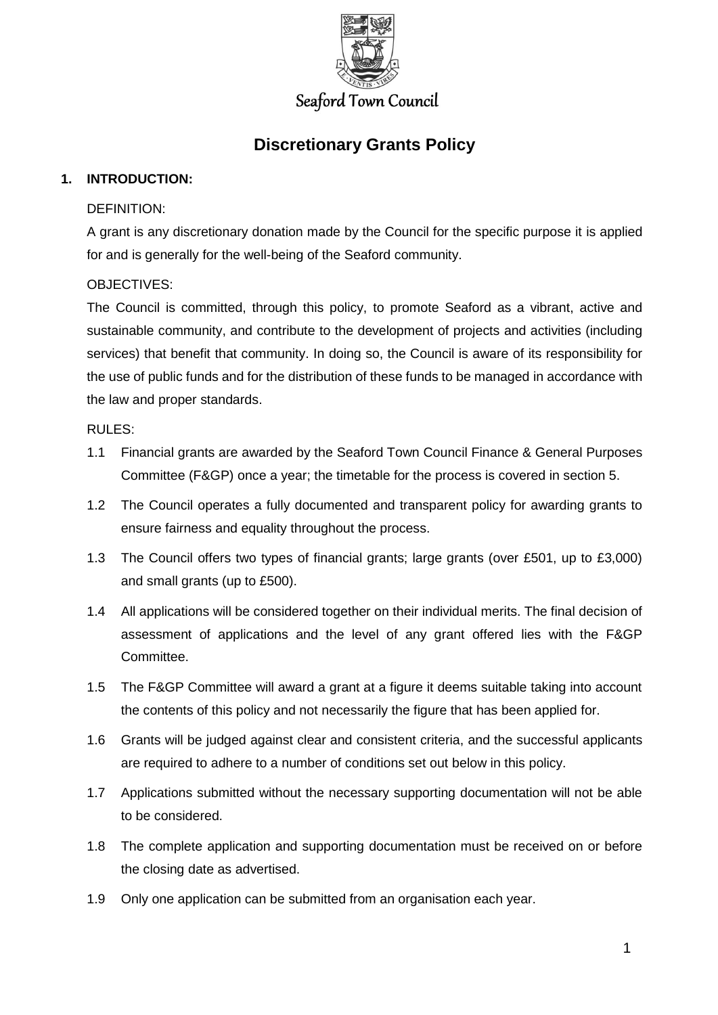

# **Discretionary Grants Policy**

# **1. INTRODUCTION:**

## DEFINITION:

A grant is any discretionary donation made by the Council for the specific purpose it is applied for and is generally for the well-being of the Seaford community.

# OBJECTIVES:

The Council is committed, through this policy, to promote Seaford as a vibrant, active and sustainable community, and contribute to the development of projects and activities (including services) that benefit that community. In doing so, the Council is aware of its responsibility for the use of public funds and for the distribution of these funds to be managed in accordance with the law and proper standards.

## RULES:

- 1.1 Financial grants are awarded by the Seaford Town Council Finance & General Purposes Committee (F&GP) once a year; the timetable for the process is covered in section 5.
- 1.2 The Council operates a fully documented and transparent policy for awarding grants to ensure fairness and equality throughout the process.
- 1.3 The Council offers two types of financial grants; large grants (over £501, up to £3,000) and small grants (up to £500).
- 1.4 All applications will be considered together on their individual merits. The final decision of assessment of applications and the level of any grant offered lies with the F&GP Committee.
- 1.5 The F&GP Committee will award a grant at a figure it deems suitable taking into account the contents of this policy and not necessarily the figure that has been applied for.
- 1.6 Grants will be judged against clear and consistent criteria, and the successful applicants are required to adhere to a number of conditions set out below in this policy.
- 1.7 Applications submitted without the necessary supporting documentation will not be able to be considered.
- 1.8 The complete application and supporting documentation must be received on or before the closing date as advertised.
- 1.9 Only one application can be submitted from an organisation each year.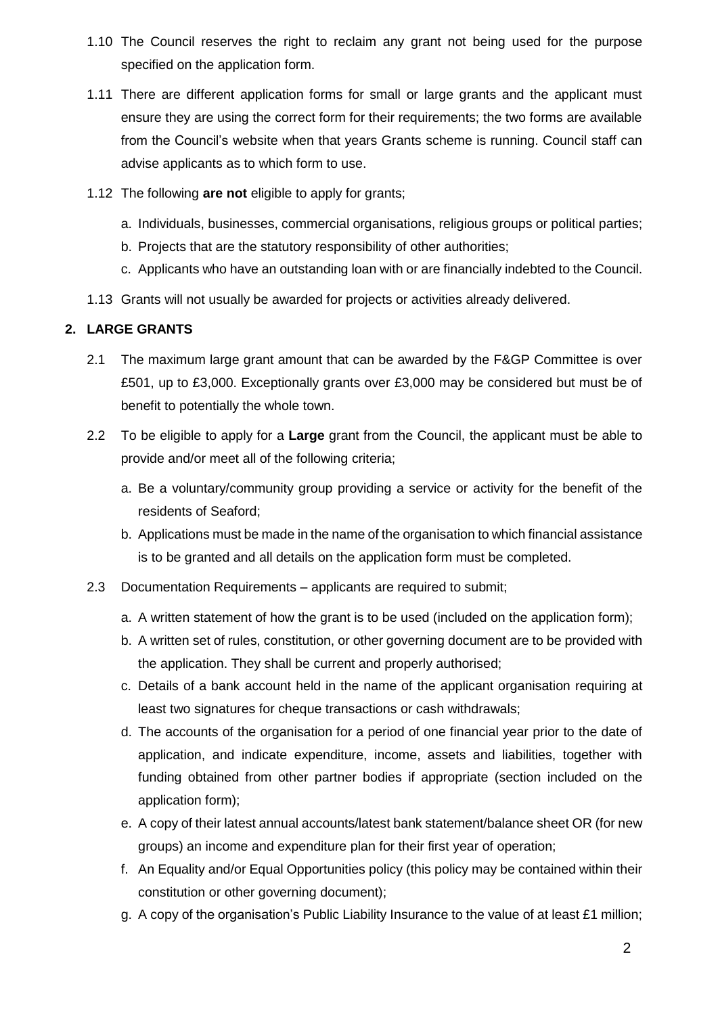- 1.10 The Council reserves the right to reclaim any grant not being used for the purpose specified on the application form.
- 1.11 There are different application forms for small or large grants and the applicant must ensure they are using the correct form for their requirements; the two forms are available from the Council's website when that years Grants scheme is running. Council staff can advise applicants as to which form to use.
- 1.12 The following **are not** eligible to apply for grants;
	- a. Individuals, businesses, commercial organisations, religious groups or political parties;
	- b. Projects that are the statutory responsibility of other authorities;
	- c. Applicants who have an outstanding loan with or are financially indebted to the Council.
- 1.13 Grants will not usually be awarded for projects or activities already delivered.

## **2. LARGE GRANTS**

- 2.1 The maximum large grant amount that can be awarded by the F&GP Committee is over £501, up to £3,000. Exceptionally grants over £3,000 may be considered but must be of benefit to potentially the whole town.
- 2.2 To be eligible to apply for a **Large** grant from the Council, the applicant must be able to provide and/or meet all of the following criteria;
	- a. Be a voluntary/community group providing a service or activity for the benefit of the residents of Seaford;
	- b. Applications must be made in the name of the organisation to which financial assistance is to be granted and all details on the application form must be completed.
- 2.3 Documentation Requirements applicants are required to submit;
	- a. A written statement of how the grant is to be used (included on the application form);
	- b. A written set of rules, constitution, or other governing document are to be provided with the application. They shall be current and properly authorised;
	- c. Details of a bank account held in the name of the applicant organisation requiring at least two signatures for cheque transactions or cash withdrawals;
	- d. The accounts of the organisation for a period of one financial year prior to the date of application, and indicate expenditure, income, assets and liabilities, together with funding obtained from other partner bodies if appropriate (section included on the application form);
	- e. A copy of their latest annual accounts/latest bank statement/balance sheet OR (for new groups) an income and expenditure plan for their first year of operation;
	- f. An Equality and/or Equal Opportunities policy (this policy may be contained within their constitution or other governing document);
	- g. A copy of the organisation's Public Liability Insurance to the value of at least £1 million;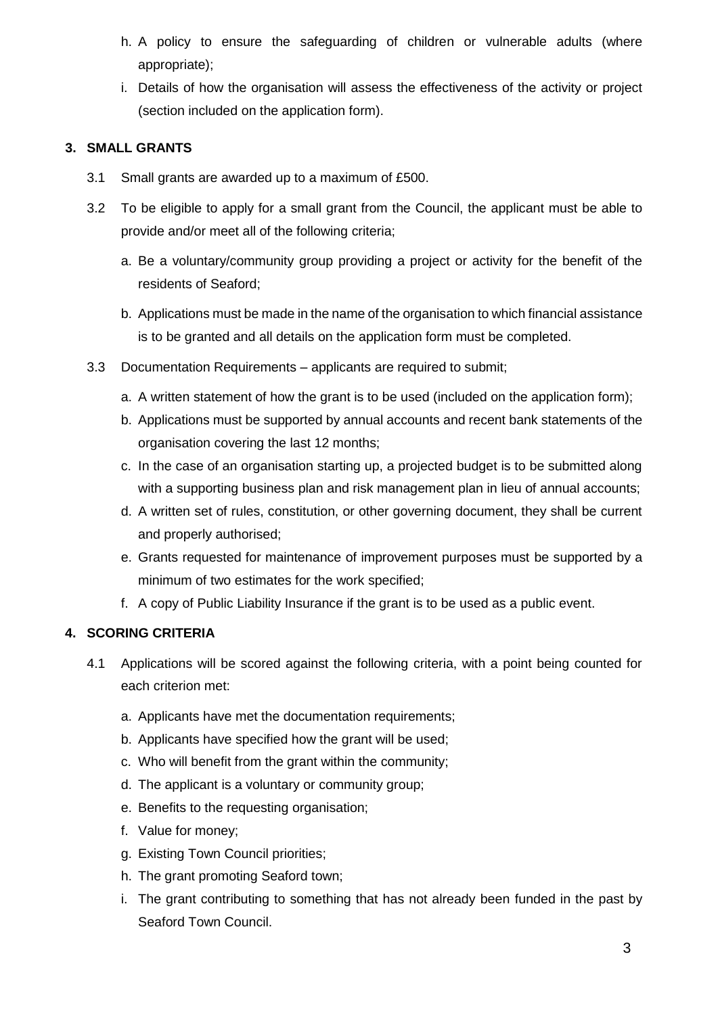- h. A policy to ensure the safeguarding of children or vulnerable adults (where appropriate);
- i. Details of how the organisation will assess the effectiveness of the activity or project (section included on the application form).

# **3. SMALL GRANTS**

- 3.1 Small grants are awarded up to a maximum of £500.
- 3.2 To be eligible to apply for a small grant from the Council, the applicant must be able to provide and/or meet all of the following criteria;
	- a. Be a voluntary/community group providing a project or activity for the benefit of the residents of Seaford;
	- b. Applications must be made in the name of the organisation to which financial assistance is to be granted and all details on the application form must be completed.
- 3.3 Documentation Requirements applicants are required to submit;
	- a. A written statement of how the grant is to be used (included on the application form);
	- b. Applications must be supported by annual accounts and recent bank statements of the organisation covering the last 12 months;
	- c. In the case of an organisation starting up, a projected budget is to be submitted along with a supporting business plan and risk management plan in lieu of annual accounts;
	- d. A written set of rules, constitution, or other governing document, they shall be current and properly authorised;
	- e. Grants requested for maintenance of improvement purposes must be supported by a minimum of two estimates for the work specified;
	- f. A copy of Public Liability Insurance if the grant is to be used as a public event.

# **4. SCORING CRITERIA**

- 4.1 Applications will be scored against the following criteria, with a point being counted for each criterion met:
	- a. Applicants have met the documentation requirements;
	- b. Applicants have specified how the grant will be used;
	- c. Who will benefit from the grant within the community;
	- d. The applicant is a voluntary or community group;
	- e. Benefits to the requesting organisation;
	- f. Value for money;
	- g. Existing Town Council priorities;
	- h. The grant promoting Seaford town;
	- i. The grant contributing to something that has not already been funded in the past by Seaford Town Council.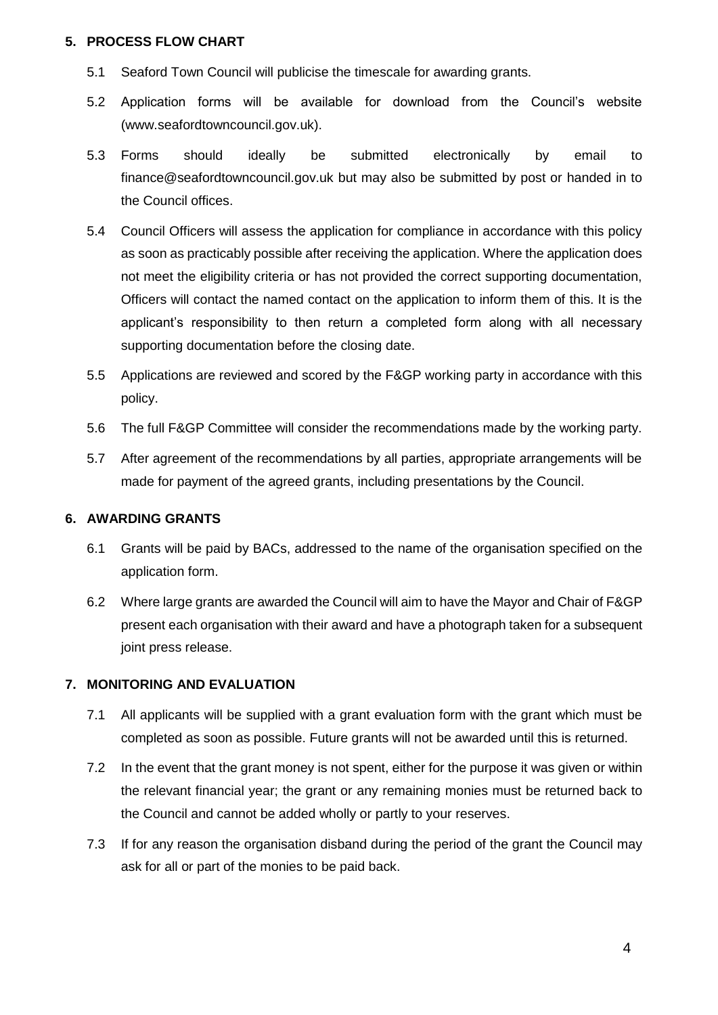#### **5. PROCESS FLOW CHART**

- 5.1 Seaford Town Council will publicise the timescale for awarding grants.
- 5.2 Application forms will be available for download from the Council's website (www.seafordtowncouncil.gov.uk).
- 5.3 Forms should ideally be submitted electronically by email to finance@seafordtowncouncil.gov.uk but may also be submitted by post or handed in to the Council offices.
- 5.4 Council Officers will assess the application for compliance in accordance with this policy as soon as practicably possible after receiving the application. Where the application does not meet the eligibility criteria or has not provided the correct supporting documentation, Officers will contact the named contact on the application to inform them of this. It is the applicant's responsibility to then return a completed form along with all necessary supporting documentation before the closing date.
- 5.5 Applications are reviewed and scored by the F&GP working party in accordance with this policy.
- 5.6 The full F&GP Committee will consider the recommendations made by the working party.
- 5.7 After agreement of the recommendations by all parties, appropriate arrangements will be made for payment of the agreed grants, including presentations by the Council.

#### **6. AWARDING GRANTS**

- 6.1 Grants will be paid by BACs, addressed to the name of the organisation specified on the application form.
- 6.2 Where large grants are awarded the Council will aim to have the Mayor and Chair of F&GP present each organisation with their award and have a photograph taken for a subsequent joint press release.

#### **7. MONITORING AND EVALUATION**

- 7.1 All applicants will be supplied with a grant evaluation form with the grant which must be completed as soon as possible. Future grants will not be awarded until this is returned.
- 7.2 In the event that the grant money is not spent, either for the purpose it was given or within the relevant financial year; the grant or any remaining monies must be returned back to the Council and cannot be added wholly or partly to your reserves.
- 7.3 If for any reason the organisation disband during the period of the grant the Council may ask for all or part of the monies to be paid back.